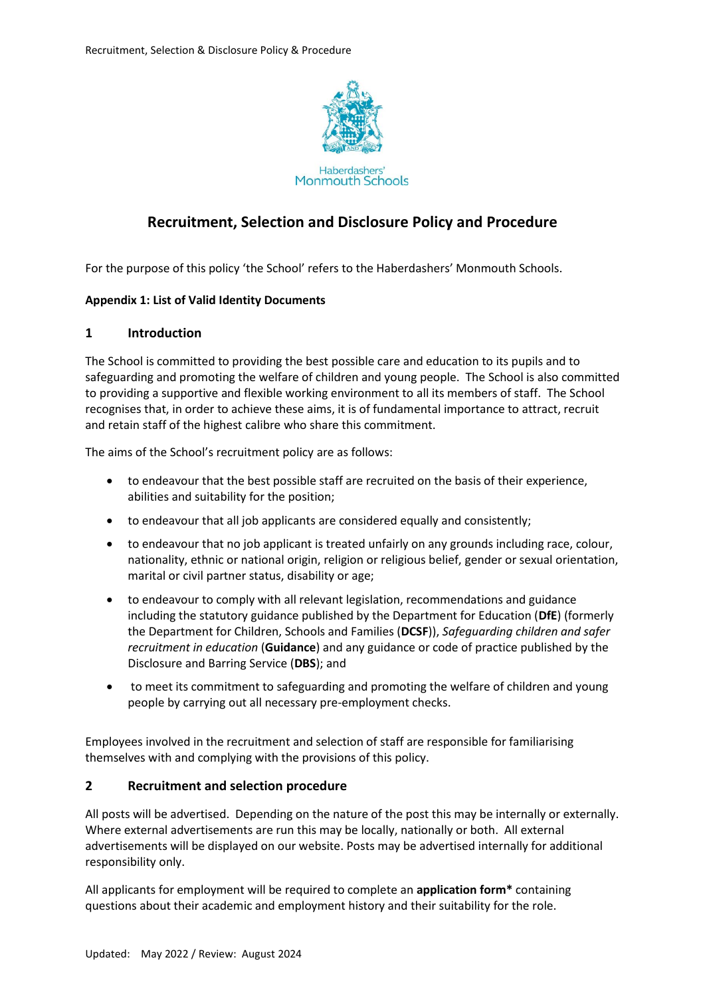

**Monmouth Schools** 

# **Recruitment, Selection and Disclosure Policy and Procedure**

For the purpose of this policy 'the School' refers to the Haberdashers' Monmouth Schools.

#### **Appendix 1: List of Valid Identity Documents**

#### **1 Introduction**

The School is committed to providing the best possible care and education to its pupils and to safeguarding and promoting the welfare of children and young people. The School is also committed to providing a supportive and flexible working environment to all its members of staff. The School recognises that, in order to achieve these aims, it is of fundamental importance to attract, recruit and retain staff of the highest calibre who share this commitment.

The aims of the School's recruitment policy are as follows:

- to endeavour that the best possible staff are recruited on the basis of their experience, abilities and suitability for the position;
- to endeavour that all job applicants are considered equally and consistently;
- to endeavour that no job applicant is treated unfairly on any grounds including race, colour, nationality, ethnic or national origin, religion or religious belief, gender or sexual orientation, marital or civil partner status, disability or age;
- to endeavour to comply with all relevant legislation, recommendations and guidance including the statutory guidance published by the Department for Education (**DfE**) (formerly the Department for Children, Schools and Families (**DCSF**)), *Safeguarding children and safer recruitment in education* (**Guidance**) and any guidance or code of practice published by the Disclosure and Barring Service (**DBS**); and
- to meet its commitment to safeguarding and promoting the welfare of children and young people by carrying out all necessary pre-employment checks.

Employees involved in the recruitment and selection of staff are responsible for familiarising themselves with and complying with the provisions of this policy.

#### **2 Recruitment and selection procedure**

All posts will be advertised. Depending on the nature of the post this may be internally or externally. Where external advertisements are run this may be locally, nationally or both. All external advertisements will be displayed on our website. Posts may be advertised internally for additional responsibility only.

All applicants for employment will be required to complete an **application form\*** containing questions about their academic and employment history and their suitability for the role.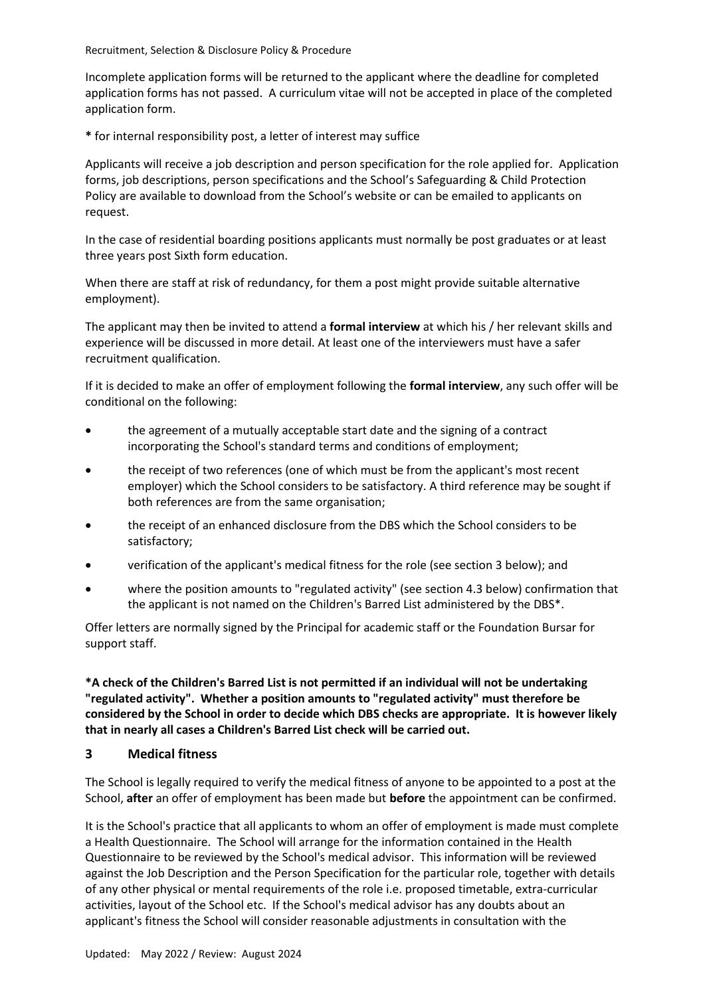Incomplete application forms will be returned to the applicant where the deadline for completed application forms has not passed. A curriculum vitae will not be accepted in place of the completed application form.

**\*** for internal responsibility post, a letter of interest may suffice

Applicants will receive a job description and person specification for the role applied for. Application forms, job descriptions, person specifications and the School's Safeguarding & Child Protection Policy are available to download from the School's website or can be emailed to applicants on request.

In the case of residential boarding positions applicants must normally be post graduates or at least three years post Sixth form education.

When there are staff at risk of redundancy, for them a post might provide suitable alternative employment).

The applicant may then be invited to attend a **formal interview** at which his / her relevant skills and experience will be discussed in more detail. At least one of the interviewers must have a safer recruitment qualification.

If it is decided to make an offer of employment following the **formal interview**, any such offer will be conditional on the following:

- the agreement of a mutually acceptable start date and the signing of a contract incorporating the School's standard terms and conditions of employment;
- the receipt of two references (one of which must be from the applicant's most recent employer) which the School considers to be satisfactory. A third reference may be sought if both references are from the same organisation;
- the receipt of an enhanced disclosure from the DBS which the School considers to be satisfactory;
- verification of the applicant's medical fitness for the role (see sectio[n 3](#page-1-0) below); and
- where the position amounts to "regulated activity" (see sectio[n 4.3](#page-3-0) below) confirmation that the applicant is not named on the Children's Barred List administered by the DBS\*.

Offer letters are normally signed by the Principal for academic staff or the Foundation Bursar for support staff.

**\*A check of the Children's Barred List is not permitted if an individual will not be undertaking "regulated activity". Whether a position amounts to "regulated activity" must therefore be considered by the School in order to decide which DBS checks are appropriate. It is however likely that in nearly all cases a Children's Barred List check will be carried out.**

### <span id="page-1-0"></span>**3 Medical fitness**

The School is legally required to verify the medical fitness of anyone to be appointed to a post at the School, **after** an offer of employment has been made but **before** the appointment can be confirmed.

It is the School's practice that all applicants to whom an offer of employment is made must complete a Health Questionnaire. The School will arrange for the information contained in the Health Questionnaire to be reviewed by the School's medical advisor. This information will be reviewed against the Job Description and the Person Specification for the particular role, together with details of any other physical or mental requirements of the role i.e. proposed timetable, extra-curricular activities, layout of the School etc. If the School's medical advisor has any doubts about an applicant's fitness the School will consider reasonable adjustments in consultation with the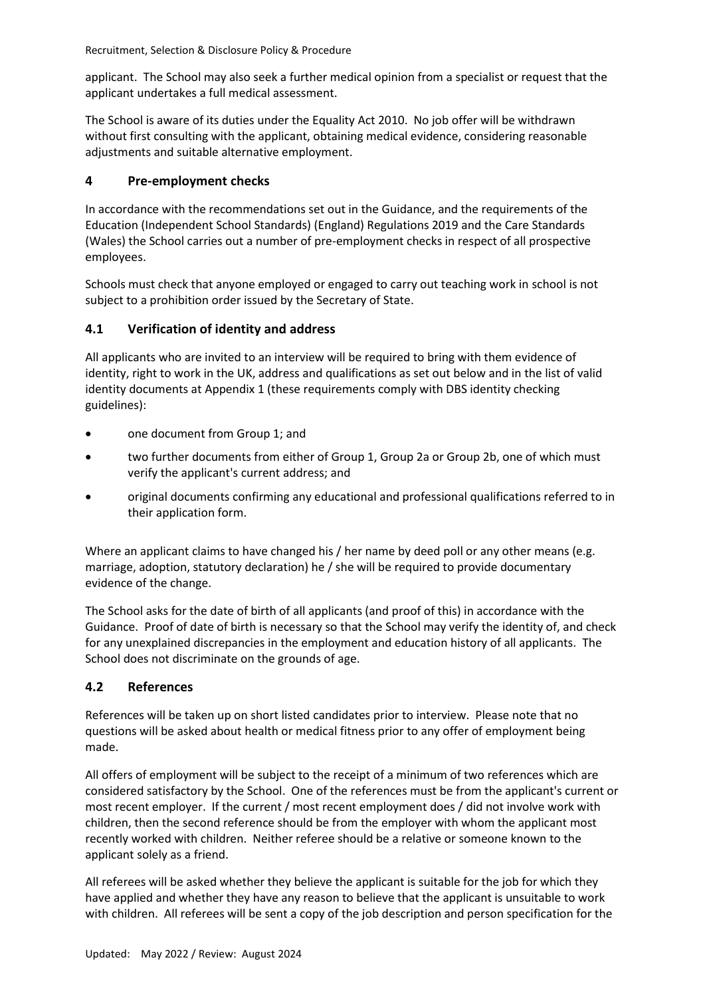applicant. The School may also seek a further medical opinion from a specialist or request that the applicant undertakes a full medical assessment.

The School is aware of its duties under the Equality Act 2010. No job offer will be withdrawn without first consulting with the applicant, obtaining medical evidence, considering reasonable adjustments and suitable alternative employment.

### **4 Pre-employment checks**

In accordance with the recommendations set out in the Guidance, and the requirements of the Education (Independent School Standards) (England) Regulations 2019 and the Care Standards (Wales) the School carries out a number of pre-employment checks in respect of all prospective employees.

Schools must check that anyone employed or engaged to carry out teaching work in school is not subject to a prohibition order issued by the Secretary of State.

## <span id="page-2-0"></span>**4.1 Verification of identity and address**

All applicants who are invited to an interview will be required to bring with them evidence of identity, right to work in the UK, address and qualifications as set out below and in the list of valid identity documents at [Appendix 1](#page-8-0) (these requirements comply with DBS identity checking guidelines):

- one document from Group 1; and
- two further documents from either of Group 1, Group 2a or Group 2b, one of which must verify the applicant's current address; and
- original documents confirming any educational and professional qualifications referred to in their application form.

Where an applicant claims to have changed his / her name by deed poll or any other means (e.g. marriage, adoption, statutory declaration) he / she will be required to provide documentary evidence of the change.

The School asks for the date of birth of all applicants (and proof of this) in accordance with the Guidance. Proof of date of birth is necessary so that the School may verify the identity of, and check for any unexplained discrepancies in the employment and education history of all applicants. The School does not discriminate on the grounds of age.

## **4.2 References**

References will be taken up on short listed candidates prior to interview. Please note that no questions will be asked about health or medical fitness prior to any offer of employment being made.

All offers of employment will be subject to the receipt of a minimum of two references which are considered satisfactory by the School. One of the references must be from the applicant's current or most recent employer. If the current / most recent employment does / did not involve work with children, then the second reference should be from the employer with whom the applicant most recently worked with children. Neither referee should be a relative or someone known to the applicant solely as a friend.

All referees will be asked whether they believe the applicant is suitable for the job for which they have applied and whether they have any reason to believe that the applicant is unsuitable to work with children. All referees will be sent a copy of the job description and person specification for the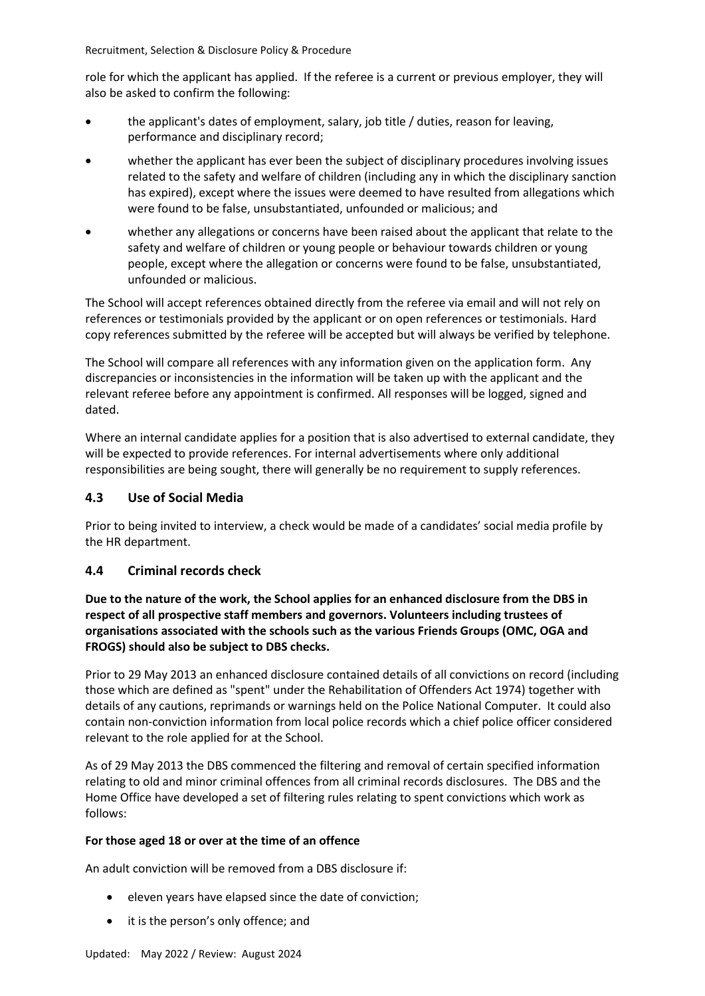role for which the applicant has applied. If the referee is a current or previous employer, they will also be asked to confirm the following:

- the applicant's dates of employment, salary, job title / duties, reason for leaving, performance and disciplinary record;
- whether the applicant has ever been the subject of disciplinary procedures involving issues related to the safety and welfare of children (including any in which the disciplinary sanction has expired), except where the issues were deemed to have resulted from allegations which were found to be false, unsubstantiated, unfounded or malicious; and
- whether any allegations or concerns have been raised about the applicant that relate to the safety and welfare of children or young people or behaviour towards children or young people, except where the allegation or concerns were found to be false, unsubstantiated, unfounded or malicious.

The School will accept references obtained directly from the referee via email and will not rely on references or testimonials provided by the applicant or on open references or testimonials. Hard copy references submitted by the referee will be accepted but will always be verified by telephone.

The School will compare all references with any information given on the application form. Any discrepancies or inconsistencies in the information will be taken up with the applicant and the relevant referee before any appointment is confirmed. All responses will be logged, signed and dated.

Where an internal candidate applies for a position that is also advertised to external candidate, they will be expected to provide references. For internal advertisements where only additional responsibilities are being sought, there will generally be no requirement to supply references.

## <span id="page-3-0"></span>**4.3 Use of Social Media**

Prior to being invited to interview, a check would be made of a candidates' social media profile by the HR department.

### **4.4 Criminal records check**

**Due to the nature of the work, the School applies for an enhanced disclosure from the DBS in respect of all prospective staff members and governors. Volunteers including trustees of organisations associated with the schools such as the various Friends Groups (OMC, OGA and FROGS) should also be subject to DBS checks.**

Prior to 29 May 2013 an enhanced disclosure contained details of all convictions on record (including those which are defined as "spent" under the Rehabilitation of Offenders Act 1974) together with details of any cautions, reprimands or warnings held on the Police National Computer. It could also contain non-conviction information from local police records which a chief police officer considered relevant to the role applied for at the School.

As of 29 May 2013 the DBS commenced the filtering and removal of certain specified information relating to old and minor criminal offences from all criminal records disclosures. The DBS and the Home Office have developed a set of filtering rules relating to spent convictions which work as follows:

#### **For those aged 18 or over at the time of an offence**

An adult conviction will be removed from a DBS disclosure if:

- eleven years have elapsed since the date of conviction;
- it is the person's only offence; and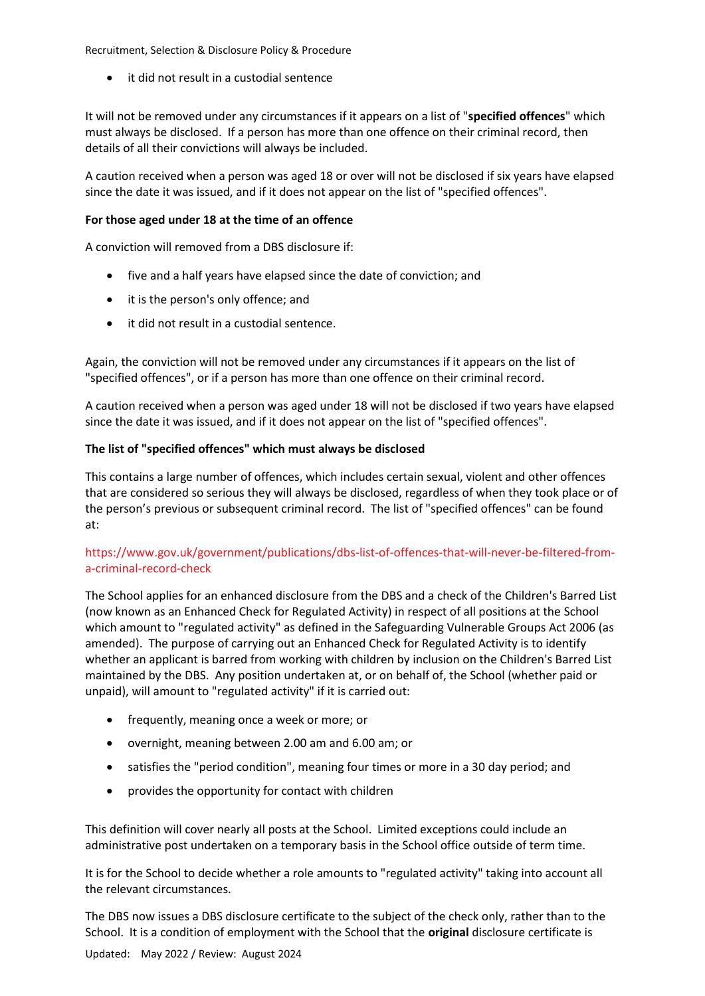it did not result in a custodial sentence

It will not be removed under any circumstances if it appears on a list of "**specified offences**" which must always be disclosed. If a person has more than one offence on their criminal record, then details of all their convictions will always be included.

A caution received when a person was aged 18 or over will not be disclosed if six years have elapsed since the date it was issued, and if it does not appear on the list of "specified offences".

#### **For those aged under 18 at the time of an offence**

A conviction will removed from a DBS disclosure if:

- five and a half years have elapsed since the date of conviction; and
- it is the person's only offence; and
- it did not result in a custodial sentence.

Again, the conviction will not be removed under any circumstances if it appears on the list of "specified offences", or if a person has more than one offence on their criminal record.

A caution received when a person was aged under 18 will not be disclosed if two years have elapsed since the date it was issued, and if it does not appear on the list of "specified offences".

#### **The list of "specified offences" which must always be disclosed**

This contains a large number of offences, which includes certain sexual, violent and other offences that are considered so serious they will always be disclosed, regardless of when they took place or of the person's previous or subsequent criminal record. The list of "specified offences" can be found at:

### [https://www.gov.uk/government/publications/dbs-list-of-offences-that-will-never-be-filtered-from](https://www.gov.uk/government/publications/dbs-list-of-offences-that-will-never-be-filtered-from-a-criminal-record-check)[a-criminal-record-check](https://www.gov.uk/government/publications/dbs-list-of-offences-that-will-never-be-filtered-from-a-criminal-record-check)

The School applies for an enhanced disclosure from the DBS and a check of the Children's Barred List (now known as an Enhanced Check for Regulated Activity) in respect of all positions at the School which amount to "regulated activity" as defined in the Safeguarding Vulnerable Groups Act 2006 (as amended). The purpose of carrying out an Enhanced Check for Regulated Activity is to identify whether an applicant is barred from working with children by inclusion on the Children's Barred List maintained by the DBS. Any position undertaken at, or on behalf of, the School (whether paid or unpaid), will amount to "regulated activity" if it is carried out:

- frequently, meaning once a week or more; or
- overnight, meaning between 2.00 am and 6.00 am; or
- satisfies the "period condition", meaning four times or more in a 30 day period; and
- provides the opportunity for contact with children

This definition will cover nearly all posts at the School. Limited exceptions could include an administrative post undertaken on a temporary basis in the School office outside of term time.

It is for the School to decide whether a role amounts to "regulated activity" taking into account all the relevant circumstances.

The DBS now issues a DBS disclosure certificate to the subject of the check only, rather than to the School. It is a condition of employment with the School that the **original** disclosure certificate is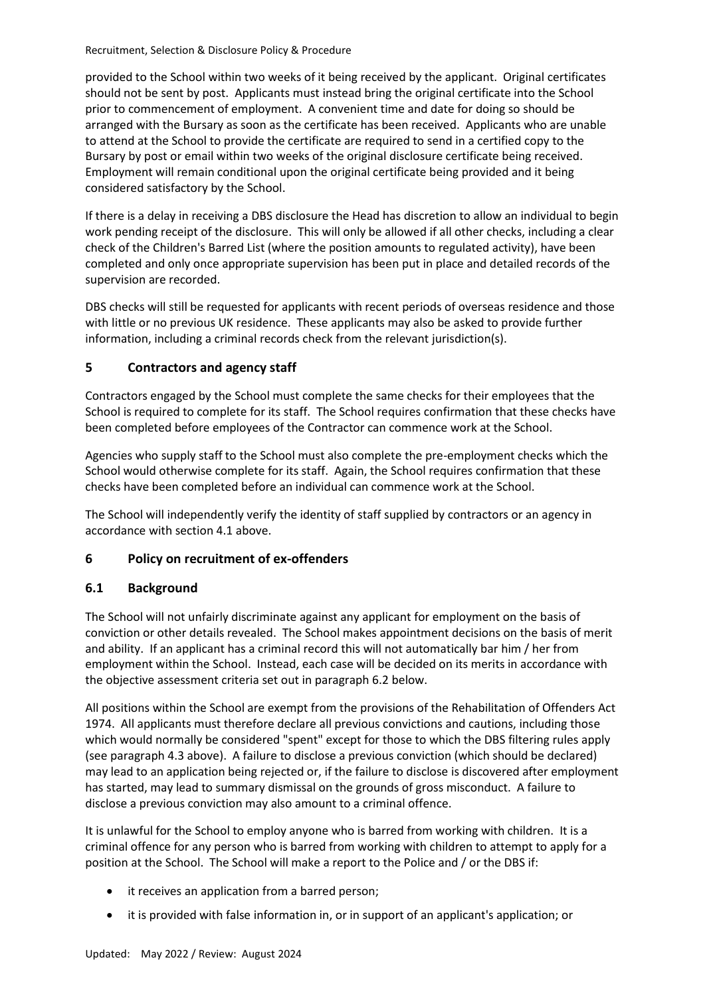provided to the School within two weeks of it being received by the applicant. Original certificates should not be sent by post. Applicants must instead bring the original certificate into the School prior to commencement of employment. A convenient time and date for doing so should be arranged with the Bursary as soon as the certificate has been received. Applicants who are unable to attend at the School to provide the certificate are required to send in a certified copy to the Bursary by post or email within two weeks of the original disclosure certificate being received. Employment will remain conditional upon the original certificate being provided and it being considered satisfactory by the School.

If there is a delay in receiving a DBS disclosure the Head has discretion to allow an individual to begin work pending receipt of the disclosure. This will only be allowed if all other checks, including a clear check of the Children's Barred List (where the position amounts to regulated activity), have been completed and only once appropriate supervision has been put in place and detailed records of the supervision are recorded.

DBS checks will still be requested for applicants with recent periods of overseas residence and those with little or no previous UK residence. These applicants may also be asked to provide further information, including a criminal records check from the relevant jurisdiction(s).

## **5 Contractors and agency staff**

Contractors engaged by the School must complete the same checks for their employees that the School is required to complete for its staff. The School requires confirmation that these checks have been completed before employees of the Contractor can commence work at the School.

Agencies who supply staff to the School must also complete the pre-employment checks which the School would otherwise complete for its staff. Again, the School requires confirmation that these checks have been completed before an individual can commence work at the School.

The School will independently verify the identity of staff supplied by contractors or an agency in accordance with sectio[n 4.1](#page-2-0) above.

### **6 Policy on recruitment of ex-offenders**

### **6.1 Background**

The School will not unfairly discriminate against any applicant for employment on the basis of conviction or other details revealed. The School makes appointment decisions on the basis of merit and ability. If an applicant has a criminal record this will not automatically bar him / her from employment within the School. Instead, each case will be decided on its merits in accordance with the objective assessment criteria set out in paragraph [6.2](#page-6-0) below.

All positions within the School are exempt from the provisions of the Rehabilitation of Offenders Act 1974. All applicants must therefore declare all previous convictions and cautions, including those which would normally be considered "spent" except for those to which the DBS filtering rules apply (see paragrap[h 4.3](#page-3-0) above). A failure to disclose a previous conviction (which should be declared) may lead to an application being rejected or, if the failure to disclose is discovered after employment has started, may lead to summary dismissal on the grounds of gross misconduct. A failure to disclose a previous conviction may also amount to a criminal offence.

It is unlawful for the School to employ anyone who is barred from working with children. It is a criminal offence for any person who is barred from working with children to attempt to apply for a position at the School. The School will make a report to the Police and / or the DBS if:

- it receives an application from a barred person;
- it is provided with false information in, or in support of an applicant's application; or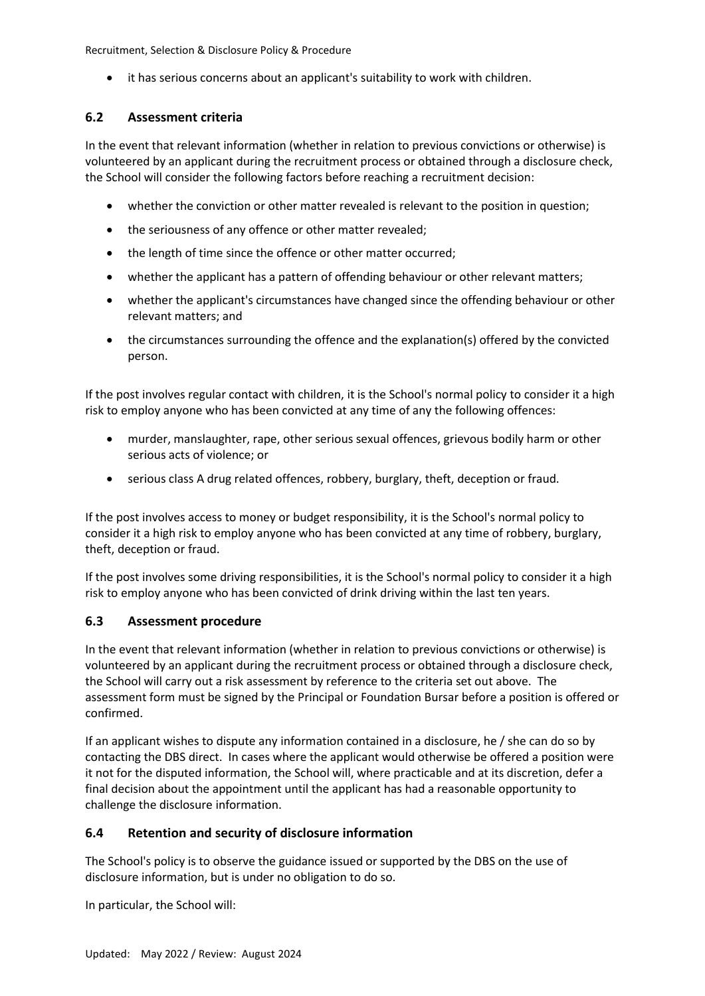• it has serious concerns about an applicant's suitability to work with children.

### <span id="page-6-0"></span>**6.2 Assessment criteria**

In the event that relevant information (whether in relation to previous convictions or otherwise) is volunteered by an applicant during the recruitment process or obtained through a disclosure check, the School will consider the following factors before reaching a recruitment decision:

- whether the conviction or other matter revealed is relevant to the position in question;
- the seriousness of any offence or other matter revealed;
- the length of time since the offence or other matter occurred;
- whether the applicant has a pattern of offending behaviour or other relevant matters;
- whether the applicant's circumstances have changed since the offending behaviour or other relevant matters; and
- the circumstances surrounding the offence and the explanation(s) offered by the convicted person.

If the post involves regular contact with children, it is the School's normal policy to consider it a high risk to employ anyone who has been convicted at any time of any the following offences:

- murder, manslaughter, rape, other serious sexual offences, grievous bodily harm or other serious acts of violence; or
- serious class A drug related offences, robbery, burglary, theft, deception or fraud.

If the post involves access to money or budget responsibility, it is the School's normal policy to consider it a high risk to employ anyone who has been convicted at any time of robbery, burglary, theft, deception or fraud.

If the post involves some driving responsibilities, it is the School's normal policy to consider it a high risk to employ anyone who has been convicted of drink driving within the last ten years.

### **6.3 Assessment procedure**

In the event that relevant information (whether in relation to previous convictions or otherwise) is volunteered by an applicant during the recruitment process or obtained through a disclosure check, the School will carry out a risk assessment by reference to the criteria set out above. The assessment form must be signed by the Principal or Foundation Bursar before a position is offered or confirmed.

If an applicant wishes to dispute any information contained in a disclosure, he / she can do so by contacting the DBS direct. In cases where the applicant would otherwise be offered a position were it not for the disputed information, the School will, where practicable and at its discretion, defer a final decision about the appointment until the applicant has had a reasonable opportunity to challenge the disclosure information.

### **6.4 Retention and security of disclosure information**

The School's policy is to observe the guidance issued or supported by the DBS on the use of disclosure information, but is under no obligation to do so.

In particular, the School will: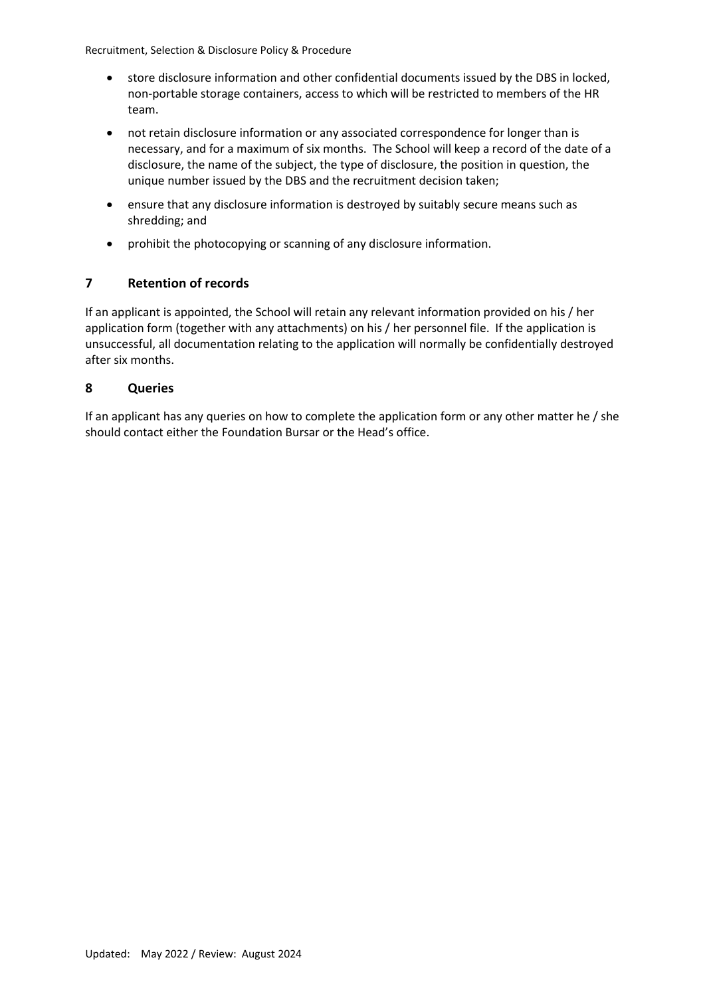- store disclosure information and other confidential documents issued by the DBS in locked, non-portable storage containers, access to which will be restricted to members of the HR team.
- not retain disclosure information or any associated correspondence for longer than is necessary, and for a maximum of six months. The School will keep a record of the date of a disclosure, the name of the subject, the type of disclosure, the position in question, the unique number issued by the DBS and the recruitment decision taken;
- ensure that any disclosure information is destroyed by suitably secure means such as shredding; and
- prohibit the photocopying or scanning of any disclosure information.

## **7 Retention of records**

If an applicant is appointed, the School will retain any relevant information provided on his / her application form (together with any attachments) on his / her personnel file. If the application is unsuccessful, all documentation relating to the application will normally be confidentially destroyed after six months.

### **8 Queries**

If an applicant has any queries on how to complete the application form or any other matter he / she should contact either the Foundation Bursar or the Head's office.